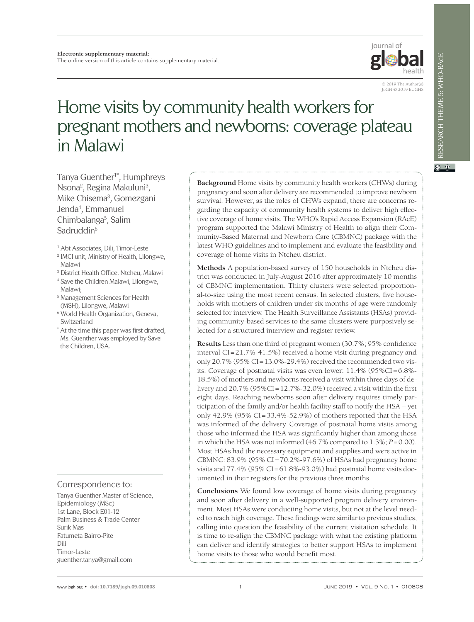

© 2019 The Author(s) JoGH © 2019 EUGHS

# Home visits by community health workers for pregnant mothers and newborns: coverage plateau in Malawi

Tanya Guenther<sup>1\*</sup>, Humphreys Nsona<sup>2</sup>, Regina Makuluni<sup>3</sup>, Mike Chisema<sup>3</sup>, Gomezgani Jenda4 , Emmanuel Chimbalanga<sup>5</sup>, Salim Sadruddin<sup>6</sup>

- <sup>1</sup> Abt Associates, Dili, Timor-Leste
- <sup>2</sup> IMCI unit, Ministry of Health, Lilongwe, Malawi
- <sup>3</sup> District Health Office, Ntcheu, Malawi
- <sup>4</sup> Save the Children Malawi, Lilongwe, Malawi;
- <sup>5</sup> Management Sciences for Health (MSH), Lilongwe, Malawi
- <sup>6</sup> World Health Organization, Geneva, Switzerland
- \* At the time this paper was first drafted, Ms. Guenther was employed by Save the Children, USA.

# Correspondence to:

Tanya Guenther Master of Science, Epidemiology (MSc) 1st Lane, Block E01-12 Palm Business & Trade Center Surik Mas Fatumeta Bairro-Pite Dili Timor-Leste guenther.tanya@gmail.com

**Background** Home visits by community health workers (CHWs) during pregnancy and soon after delivery are recommended to improve newborn survival. However, as the roles of CHWs expand, there are concerns regarding the capacity of community health systems to deliver high effective coverage of home visits. The WHO's Rapid Access Expansion (RAcE) program supported the Malawi Ministry of Health to align their Community-Based Maternal and Newborn Care (CBMNC) package with the latest WHO guidelines and to implement and evaluate the feasibility and coverage of home visits in Ntcheu district.

**Methods** A population-based survey of 150 households in Ntcheu district was conducted in July-August 2016 after approximately 10 months of CBMNC implementation. Thirty clusters were selected proportional-to-size using the most recent census. In selected clusters, five households with mothers of children under six months of age were randomly selected for interview. The Health Surveillance Assistants (HSAs) providing community-based services to the same clusters were purposively selected for a structured interview and register review.

**Results** Less than one third of pregnant women (30.7%; 95% confidence interval CI=21.7%-41.5%) received a home visit during pregnancy and only 20.7% (95% CI=13.0%-29.4%) received the recommended two visits. Coverage of postnatal visits was even lower: 11.4% (95%CI=6.8%- 18.5%) of mothers and newborns received a visit within three days of delivery and 20.7% (95%CI=12.7%-32.0%) received a visit within the first eight days. Reaching newborns soon after delivery requires timely participation of the family and/or health facility staff to notify the HSA – yet only 42.9% (95% CI=33.4%-52.9%) of mothers reported that the HSA was informed of the delivery. Coverage of postnatal home visits among those who informed the HSA was significantly higher than among those in which the HSA was not informed (46.7% compared to 1.3%; *P*=0.00). Most HSAs had the necessary equipment and supplies and were active in CBMNC: 83.9% (95% CI=70.2%-97.6%) of HSAs had pregnancy home visits and 77.4% (95% CI=61.8%-93.0%) had postnatal home visits documented in their registers for the previous three months.

**Conclusions** We found low coverage of home visits during pregnancy and soon after delivery in a well-supported program delivery environment. Most HSAs were conducting home visits, but not at the level needed to reach high coverage. These findings were similar to previous studies, calling into question the feasibility of the current visitation schedule. It is time to re-align the CBMNC package with what the existing platform can deliver and identify strategies to better support HSAs to implement home visits to those who would benefit most.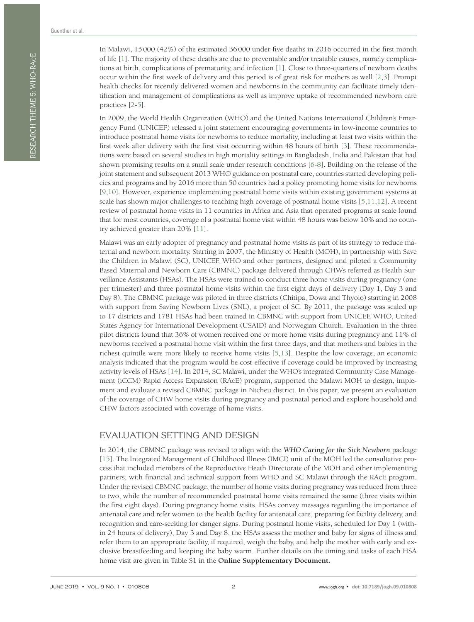In Malawi, 15000 (42%) of the estimated 36000 under-five deaths in 2016 occurred in the first month of life [\[1](#page-9-0)]. The majority of these deaths are due to preventable and/or treatable causes, namely complications at birth, complications of prematurity, and infection [\[1\]](#page-9-0). Close to three-quarters of newborn deaths occur within the first week of delivery and this period is of great risk for mothers as well [[2](#page-9-1)[,3\]](#page-9-2). Prompt health checks for recently delivered women and newborns in the community can facilitate timely identification and management of complications as well as improve uptake of recommended newborn care practices [\[2-](#page-9-1)[5](#page-9-3)].

In 2009, the World Health Organization (WHO) and the United Nations International Children's Emergency Fund (UNICEF) released a joint statement encouraging governments in low-income countries to introduce postnatal home visits for newborns to reduce mortality, including at least two visits within the first week after delivery with the first visit occurring within 48 hours of birth [[3](#page-9-2)]. These recommendations were based on several studies in high mortality settings in Bangladesh, India and Pakistan that had shown promising results on a small scale under research conditions [\[6](#page-9-4)-[8](#page-9-5)]. Building on the release of the joint statement and subsequent 2013 WHO guidance on postnatal care, countries started developing policies and programs and by 2016 more than 50 countries had a policy promoting home visits for newborns [[9,](#page-9-6)[10](#page-9-7)]. However, experience implementing postnatal home visits within existing government systems at scale has shown major challenges to reaching high coverage of postnatal home visits [[5](#page-9-3),[11](#page-9-8)[,12\]](#page-9-9). A recent review of postnatal home visits in 11 countries in Africa and Asia that operated programs at scale found that for most countries, coverage of a postnatal home visit within 48 hours was below 10% and no country achieved greater than 20% [\[11](#page-9-8)].

Malawi was an early adopter of pregnancy and postnatal home visits as part of its strategy to reduce maternal and newborn mortality. Starting in 2007, the Ministry of Health (MOH), in partnership with Save the Children in Malawi (SC), UNICEF, WHO and other partners, designed and piloted a Community Based Maternal and Newborn Care (CBMNC) package delivered through CHWs referred as Health Surveillance Assistants (HSAs). The HSAs were trained to conduct three home visits during pregnancy (one per trimester) and three postnatal home visits within the first eight days of delivery (Day 1, Day 3 and Day 8). The CBMNC package was piloted in three districts (Chitipa, Dowa and Thyolo) starting in 2008 with support from Saving Newborn Lives (SNL), a project of SC. By 2011, the package was scaled up to 17 districts and 1781 HSAs had been trained in CBMNC with support from UNICEF, WHO, United States Agency for International Development (USAID) and Norwegian Church. Evaluation in the three pilot districts found that 36% of women received one or more home visits during pregnancy and 11% of newborns received a postnatal home visit within the first three days, and that mothers and babies in the richest quintile were more likely to receive home visits [[5](#page-9-3),[13](#page-9-10)]. Despite the low coverage, an economic analysis indicated that the program would be cost-effective if coverage could be improved by increasing activity levels of HSAs [\[14\]](#page-9-11). In 2014, SC Malawi, under the WHO's integrated Community Case Management (iCCM) Rapid Access Expansion (RAcE) program, supported the Malawi MOH to design, implement and evaluate a revised CBMNC package in Ntcheu district. In this paper, we present an evaluation of the coverage of CHW home visits during pregnancy and postnatal period and explore household and CHW factors associated with coverage of home visits.

# EVALUATION SETTING AND DESIGN

In 2014, the CBMNC package was revised to align with the *WHO Caring for the Sick Newborn* package [[15](#page-10-0)]. The Integrated Management of Childhood Illness (IMCI) unit of the MOH led the consultative process that included members of the Reproductive Heath Directorate of the MOH and other implementing partners, with financial and technical support from WHO and SC Malawi through the RAcE program. Under the revised CBMNC package, the number of home visits during pregnancy was reduced from three to two, while the number of recommended postnatal home visits remained the same (three visits within the first eight days). During pregnancy home visits, HSAs convey messages regarding the importance of antenatal care and refer women to the health facility for antenatal care, preparing for facility delivery, and recognition and care-seeking for danger signs. During postnatal home visits, scheduled for Day 1 (within 24 hours of delivery), Day 3 and Day 8, the HSAs assess the mother and baby for signs of illness and refer them to an appropriate facility, if required, weigh the baby, and help the mother with early and exclusive breastfeeding and keeping the baby warm. Further details on the timing and tasks of each HSA home visit are given in Table S1 in the **Online Supplementary Document**.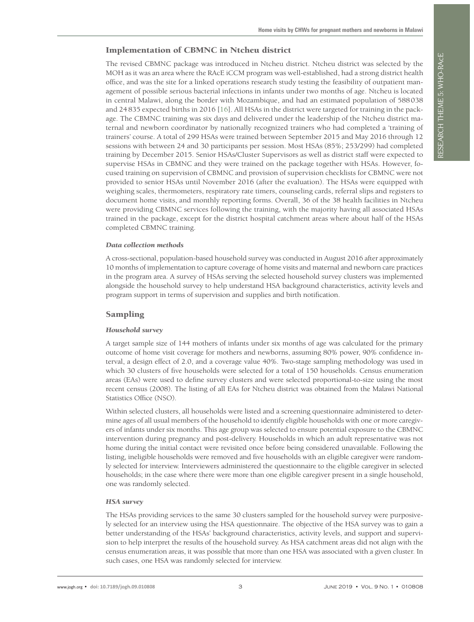# Implementation of CBMNC in Ntcheu district

The revised CBMNC package was introduced in Ntcheu district. Ntcheu district was selected by the MOH as it was an area where the RAcE iCCM program was well-established, had a strong district health office, and was the site for a linked operations research study testing the feasibility of outpatient management of possible serious bacterial infections in infants under two months of age. Ntcheu is located in central Malawi, along the border with Mozambique, and had an estimated population of 588038 and 24835 expected births in 2016 [[16](#page-10-1)]. All HSAs in the district were targeted for training in the package. The CBMNC training was six days and delivered under the leadership of the Ntcheu district maternal and newborn coordinator by nationally recognized trainers who had completed a 'training of trainers' course. A total of 299 HSAs were trained between September 2015 and May 2016 through 12 sessions with between 24 and 30 participants per session. Most HSAs (85%; 253/299) had completed training by December 2015. Senior HSAs/Cluster Supervisors as well as district staff were expected to supervise HSAs in CBMNC and they were trained on the package together with HSAs. However, focused training on supervision of CBMNC and provision of supervision checklists for CBMNC were not provided to senior HSAs until November 2016 (after the evaluation). The HSAs were equipped with weighing scales, thermometers, respiratory rate timers, counseling cards, referral slips and registers to document home visits, and monthly reporting forms. Overall, 36 of the 38 health facilities in Ntcheu were providing CBMNC services following the training, with the majority having all associated HSAs trained in the package, except for the district hospital catchment areas where about half of the HSAs completed CBMNC training.

#### *Data collection methods*

A cross-sectional, population-based household survey was conducted in August 2016 after approximately 10 months of implementation to capture coverage of home visits and maternal and newborn care practices in the program area. A survey of HSAs serving the selected household survey clusters was implemented alongside the household survey to help understand HSA background characteristics, activity levels and program support in terms of supervision and supplies and birth notification.

# Sampling

### *Household survey*

A target sample size of 144 mothers of infants under six months of age was calculated for the primary outcome of home visit coverage for mothers and newborns, assuming 80% power, 90% confidence interval, a design effect of 2.0, and a coverage value 40%. Two-stage sampling methodology was used in which 30 clusters of five households were selected for a total of 150 households. Census enumeration areas (EAs) were used to define survey clusters and were selected proportional-to-size using the most recent census (2008). The listing of all EAs for Ntcheu district was obtained from the Malawi National Statistics Office (NSO).

Within selected clusters, all households were listed and a screening questionnaire administered to determine ages of all usual members of the household to identify eligible households with one or more caregivers of infants under six months. This age group was selected to ensure potential exposure to the CBMNC intervention during pregnancy and post-delivery. Households in which an adult representative was not home during the initial contact were revisited once before being considered unavailable. Following the listing, ineligible households were removed and five households with an eligible caregiver were randomly selected for interview. Interviewers administered the questionnaire to the eligible caregiver in selected households; in the case where there were more than one eligible caregiver present in a single household, one was randomly selected.

#### *HSA survey*

The HSAs providing services to the same 30 clusters sampled for the household survey were purposively selected for an interview using the HSA questionnaire. The objective of the HSA survey was to gain a better understanding of the HSAs' background characteristics, activity levels, and support and supervision to help interpret the results of the household survey. As HSA catchment areas did not align with the census enumeration areas, it was possible that more than one HSA was associated with a given cluster. In such cases, one HSA was randomly selected for interview.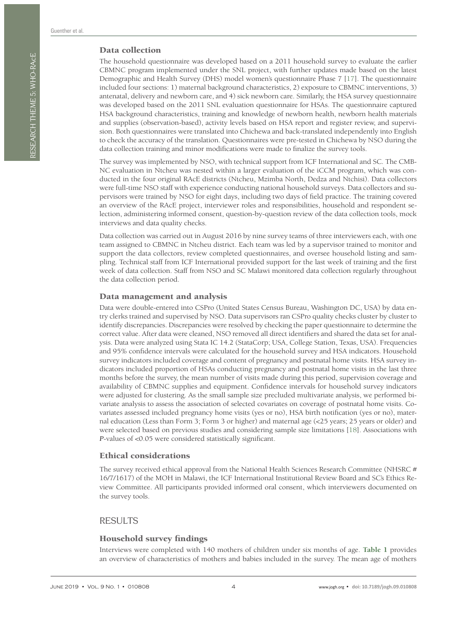### Data collection

The household questionnaire was developed based on a 2011 household survey to evaluate the earlier CBMNC program implemented under the SNL project, with further updates made based on the latest Demographic and Health Survey (DHS) model women's questionnaire Phase 7 [[17\]](#page-10-2). The questionnaire included four sections: 1) maternal background characteristics, 2) exposure to CBMNC interventions, 3) antenatal, delivery and newborn care, and 4) sick newborn care. Similarly, the HSA survey questionnaire was developed based on the 2011 SNL evaluation questionnaire for HSAs. The questionnaire captured HSA background characteristics, training and knowledge of newborn health, newborn health materials and supplies (observation-based), activity levels based on HSA report and register review, and supervision. Both questionnaires were translated into Chichewa and back-translated independently into English to check the accuracy of the translation. Questionnaires were pre-tested in Chichewa by NSO during the data collection training and minor modifications were made to finalize the survey tools.

The survey was implemented by NSO, with technical support from ICF International and SC. The CMB-NC evaluation in Ntcheu was nested within a larger evaluation of the iCCM program, which was conducted in the four original RAcE districts (Ntcheu, Mzimba North, Dedza and Ntchisi). Data collectors were full-time NSO staff with experience conducting national household surveys. Data collectors and supervisors were trained by NSO for eight days, including two days of field practice. The training covered an overview of the RAcE project, interviewer roles and responsibilities, household and respondent selection, administering informed consent, question-by-question review of the data collection tools, mock interviews and data quality checks.

Data collection was carried out in August 2016 by nine survey teams of three interviewers each, with one team assigned to CBMNC in Ntcheu district. Each team was led by a supervisor trained to monitor and support the data collectors, review completed questionnaires, and oversee household listing and sampling. Technical staff from ICF International provided support for the last week of training and the first week of data collection. Staff from NSO and SC Malawi monitored data collection regularly throughout the data collection period.

### Data management and analysis

Data were double-entered into CSPro (United States Census Bureau, Washington DC, USA) by data entry clerks trained and supervised by NSO. Data supervisors ran CSPro quality checks cluster by cluster to identify discrepancies. Discrepancies were resolved by checking the paper questionnaire to determine the correct value. After data were cleaned, NSO removed all direct identifiers and shared the data set for analysis. Data were analyzed using Stata IC 14.2 (StataCorp; USA, College Station, Texas, USA). Frequencies and 95% confidence intervals were calculated for the household survey and HSA indicators. Household survey indicators included coverage and content of pregnancy and postnatal home visits. HSA survey indicators included proportion of HSAs conducting pregnancy and postnatal home visits in the last three months before the survey, the mean number of visits made during this period, supervision coverage and availability of CBMNC supplies and equipment. Confidence intervals for household survey indicators were adjusted for clustering. As the small sample size precluded multivariate analysis, we performed bivariate analysis to assess the association of selected covariates on coverage of postnatal home visits. Covariates assessed included pregnancy home visits (yes or no), HSA birth notification (yes or no), maternal education (Less than Form 3; Form 3 or higher) and maternal age (<25 years; 25 years or older) and were selected based on previous studies and considering sample size limitations [\[18](#page-10-3)]. Associations with *P*-values of <0.05 were considered statistically significant.

### Ethical considerations

The survey received ethical approval from the National Health Sciences Research Committee (NHSRC # 16/7/1617) of the MOH in Malawi, the ICF International Institutional Review Board and SC's Ethics Review Committee. All participants provided informed oral consent, which interviewers documented on the survey tools.

### **RESULTS**

### Household survey findings

Interviews were completed with 140 mothers of children under six months of age. **[Table 1](#page-4-0)** provides an overview of characteristics of mothers and babies included in the survey. The mean age of mothers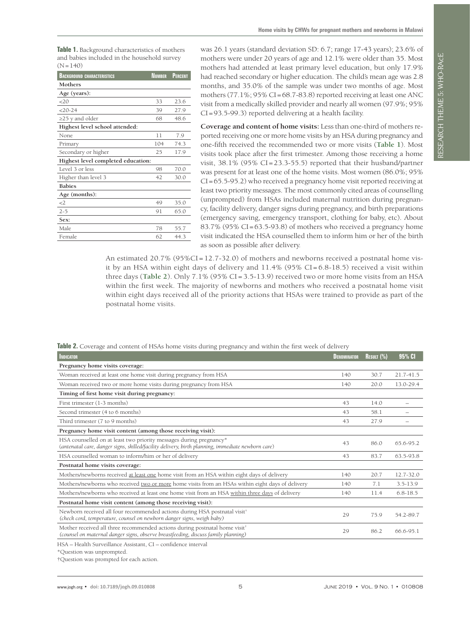<span id="page-4-0"></span>**Table 1.** Background characteristics of mothers and babies included in the household survey  $(N=140)$ 

| <b>BACKGROUND CHARACTERISTICS</b>  | <b>NUMBER</b> | <b>PERCENT</b> |
|------------------------------------|---------------|----------------|
| Mothers                            |               |                |
| Age (years):                       |               |                |
| 20                                 | 33            | 23.6           |
| $20-24$                            | 39            | 27.9           |
| $\geq$ 25 y and older              | 68            | 48.6           |
| Highest level school attended:     |               |                |
| None                               | 11            | 7.9            |
| Primary                            | 104           | 74.3           |
| Secondary or higher                | 25            | 17.9           |
| Highest level completed education: |               |                |
| Level 3 or less                    | 98            | 70.0           |
| Higher than level 3                | 42            | 30.0           |
| <b>Babies</b>                      |               |                |
| Age (months):                      |               |                |
| $\langle$                          | 49            | 35.0           |
| $2 - 5$                            | 91            | 65.0           |
| Sex:                               |               |                |
| Male                               | 78            | 55.7           |
| Female                             | 62            | 44.3           |
|                                    |               |                |

was 26.1 years (standard deviation SD: 6.7; range 17-43 years); 23.6% of mothers were under 20 years of age and 12.1% were older than 35. Most mothers had attended at least primary level education, but only 17.9% had reached secondary or higher education. The child's mean age was 2.8 months, and 35.0% of the sample was under two months of age. Most mothers (77.1%; 95% CI=68.7-83.8) reported receiving at least one ANC visit from a medically skilled provider and nearly all women (97.9%; 95% CI=93.5-99.3) reported delivering at a health facility.

**Coverage and content of home visits:** Less than one-third of mothers reported receiving one or more home visits by an HSA during pregnancy and one-fifth received the recommended two or more visits (**[Table 1](#page-4-0)**). Most visits took place after the first trimester. Among those receiving a home visit, 38.1% (95% CI=23.3-55.5) reported that their husband/partner was present for at least one of the home visits. Most women (86.0%; 95% CI=65.5-95.2) who received a pregnancy home visit reported receiving at least two priority messages. The most commonly cited areas of counselling (unprompted) from HSAs included maternal nutrition during pregnancy, facility delivery, danger signs during pregnancy, and birth preparations (emergency saving, emergency transport, clothing for baby, etc). About  $83.7\%$  (95% CI=63.5-93.8) of mothers who received a pregnancy home visit indicated the HSA counselled them to inform him or her of the birth as soon as possible after delivery.

An estimated 20.7% (95%CI = 12.7-32.0) of mothers and newborns received a postnatal home visit by an HSA within eight days of delivery and  $11.4\%$  (95% CI=6.8-18.5) received a visit within three days (**[Table 2](#page-4-1)**). Only 7.1% (95% CI = 3.5-13.9) received two or more home visits from an HSA within the first week. The majority of newborns and mothers who received a postnatal home visit within eight days received all of the priority actions that HSAs were trained to provide as part of the postnatal home visits.

| <b>INDIO LE C</b> OVERGE AIRE CORREIR OF FLOED HOME VISHS GUILING PREGRAME VARIATE WRITING INSERVED OF GENVERY                                                               |                    |            |                          |  |
|------------------------------------------------------------------------------------------------------------------------------------------------------------------------------|--------------------|------------|--------------------------|--|
| <b>INDICATOR</b>                                                                                                                                                             | <b>DENOMINATOR</b> | RESULT (%) | 95% CI                   |  |
| Pregnancy home visits coverage:                                                                                                                                              |                    |            |                          |  |
| Woman received at least one home visit during pregnancy from HSA                                                                                                             | 140                | 30.7       | 21.7-41.5                |  |
| Woman received two or more home visits during pregnancy from HSA                                                                                                             | 140                | 20.0       | 13.0-29.4                |  |
| Timing of first home visit during pregnancy:                                                                                                                                 |                    |            |                          |  |
| First trimester (1-3 months)                                                                                                                                                 | 43                 | 14.0       |                          |  |
| Second trimester (4 to 6 months)                                                                                                                                             | 43                 | 58.1       | $\overline{\phantom{0}}$ |  |
| Third trimester (7 to 9 months)                                                                                                                                              | 43                 | 27.9       |                          |  |
| Pregnancy home visit content (among those receiving visit):                                                                                                                  |                    |            |                          |  |
| HSA counselled on at least two priority messages during pregnancy*<br>(antenatal care, danger signs, skilled/facility delivery, birth planning, immediate newborn care)      | 43                 | 86.0       | 65.6-95.2                |  |
| HSA counselled woman to inform/him or her of delivery                                                                                                                        | 43                 | 83.7       | 63.5-93.8                |  |
| Postnatal home visits coverage:                                                                                                                                              |                    |            |                          |  |
| Mothers/newborns received at least one home visit from an HSA within eight days of delivery                                                                                  | 140                | 20.7       | 12.7-32.0                |  |
| Mothers/newborns who received two or more home visits from an HSAs within eight days of delivery                                                                             | 140                | 7.1        | $3.5 - 13.9$             |  |
| Mothers/newborns who received at least one home visit from an HSA within three days of delivery                                                                              | 140                | 11.4       | $6.8 - 18.5$             |  |
| Postnatal home visit content (among those receiving visit):                                                                                                                  |                    |            |                          |  |
| Newborn received all four recommended actions during HSA postnatal visit <sup>†</sup><br>(check cord, temperature, counsel on newborn danger signs, weigh baby)              | 29                 | 75.9       | 54.2-89.7                |  |
| Mother received all three recommended actions during postnatal home visit <sup>†</sup><br>(counsel on maternal danger signs, observe breastfeeding, discuss family planning) | 29                 | 86.2       | 66.6-95.1                |  |
| HSA - Health Surveillance Assistant, CI - confidence interval                                                                                                                |                    |            |                          |  |

<span id="page-4-1"></span>**Table 2.** Coverage and content of HSAs home visits during pregnancy and within the first week of delivery

HSA – Health Surveillance Assistant, CI – confidence interval

†Question was prompted for each action.

<sup>\*</sup>Question was unprompted.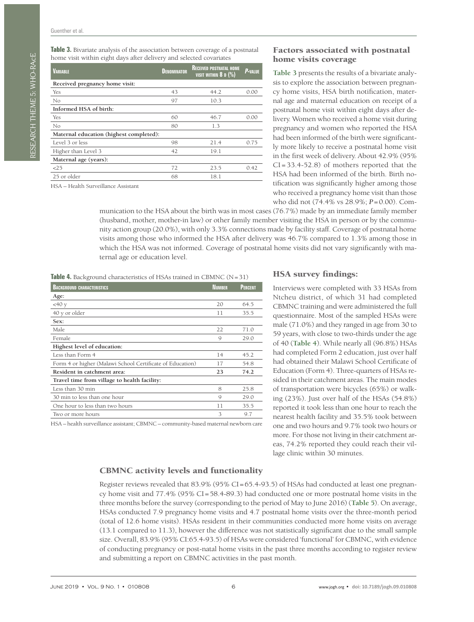<span id="page-5-0"></span>**Table 3.** Bivariate analysis of the association between coverage of a postnatal home visit within eight days after delivery and selected covariates

| <b>VARIABLE</b>                         | <b>DENOMINATOR</b> | <b>RECEIVED POSTNATAL HOME</b><br>VISIT WITHIN $8$ D $(\%)$ | <b>P-VALUE</b> |
|-----------------------------------------|--------------------|-------------------------------------------------------------|----------------|
| Received pregnancy home visit:          |                    |                                                             |                |
| Yes                                     | 43                 | 44.2                                                        | 0.00           |
| No                                      | 97                 | 10.3                                                        |                |
| Informed HSA of birth:                  |                    |                                                             |                |
| Yes                                     | 60                 | 46.7                                                        | 0.00           |
| No                                      | 80                 | 1.3                                                         |                |
| Maternal education (highest completed): |                    |                                                             |                |
| Level 3 or less                         | 98                 | 21.4                                                        | 0.75           |
| Higher than Level 3                     | 42                 | 19.1                                                        |                |
| Maternal age (years):                   |                    |                                                             |                |
| 25                                      | 72                 | 23.5                                                        | 0.42           |
| 25 or older                             | 68                 | 18.1                                                        |                |

HSA – Health Surveillance Assistant

## Factors associated with postnatal home visits coverage

**[Table 3](#page-5-0)** presents the results of a bivariate analysis to explore the association between pregnancy home visits, HSA birth notification, maternal age and maternal education on receipt of a postnatal home visit within eight days after delivery. Women who received a home visit during pregnancy and women who reported the HSA had been informed of the birth were significantly more likely to receive a postnatal home visit in the first week of delivery. About 42.9% (95%  $CI = 33.4 - 52.8$ ) of mothers reported that the HSA had been informed of the birth. Birth notification was significantly higher among those who received a pregnancy home visit than those who did not (74.4% vs 28.9%; *P*=0.00). Com-

munication to the HSA about the birth was in most cases (76.7%) made by an immediate family member (husband, mother, mother-in law) or other family member visiting the HSA in person or by the community action group (20.0%), with only 3.3% connections made by facility staff. Coverage of postnatal home visits among those who informed the HSA after delivery was 46.7% compared to 1.3% among those in which the HSA was not informed. Coverage of postnatal home visits did not vary significantly with maternal age or education level.

#### <span id="page-5-1"></span>**Table 4.** Background characteristics of HSAs trained in CBMNC (N=31)

| <b>BACKGROUND CHARACTERISTICS</b>                         | <b>NUMBER</b> | <b>PERCENT</b> |
|-----------------------------------------------------------|---------------|----------------|
| Age:                                                      |               |                |
| $<$ 40 $y$                                                | 20            | 64.5           |
| 40 y or older                                             | 11            | 35.5           |
| Sex:                                                      |               |                |
| Male                                                      | 22            | 71.0           |
| Female                                                    | 9             | 29.0           |
| Highest level of education:                               |               |                |
| Less than Form 4                                          | 14            | 45.2           |
| Form 4 or higher (Malawi School Certificate of Education) | 17            | 54.8           |
| Resident in catchment area:                               | 23            | 74.2           |
| Travel time from village to health facility:              |               |                |
| Less than 30 min                                          | 8             | 25.8           |
| 30 min to less than one hour                              | $\mathcal{Q}$ | 29.0           |
| One hour to less than two hours                           | 11            | 35.5           |
| Two or more hours                                         | 3             | 9.7            |

HSA – health surveillance assistant; CBMNC – community-based maternal newborn care

#### HSA survey findings:

Interviews were completed with 33 HSAs from Ntcheu district, of which 31 had completed CBMNC training and were administered the full questionnaire. Most of the sampled HSAs were male (71.0%) and they ranged in age from 30 to 59 years, with close to two-thirds under the age of 40 (**[Table 4](#page-5-1)**). While nearly all (96.8%) HSAs had completed Form 2 education, just over half had obtained their Malawi School Certificate of Education (Form 4). Three-quarters of HSAs resided in their catchment areas. The main modes of transportation were bicycles (65%) or walking (23%). Just over half of the HSAs (54.8%) reported it took less than one hour to reach the nearest health facility and 35.5% took between one and two hours and 9.7% took two hours or more. For those not living in their catchment areas, 74.2% reported they could reach their village clinic within 30 minutes.

### CBMNC activity levels and functionality

Register reviews revealed that  $83.9\%$   $(95\%$  CI=65.4-93.5) of HSAs had conducted at least one pregnancy home visit and 77.4% (95% CI=58.4-89.3) had conducted one or more postnatal home visits in the three months before the survey (corresponding to the period of May to June 2016) (**[Table 5](#page-6-0)**). On average, HSAs conducted 7.9 pregnancy home visits and 4.7 postnatal home visits over the three-month period (total of 12.6 home visits). HSAs resident in their communities conducted more home visits on average (13.1 compared to 11.3), however the difference was not statistically significant due to the small sample size. Overall, 83.9% (95% CI:65.4-93.5) of HSAs were considered 'functional' for CBMNC, with evidence of conducting pregnancy or post-natal home visits in the past three months according to register review and submitting a report on CBMNC activities in the past month.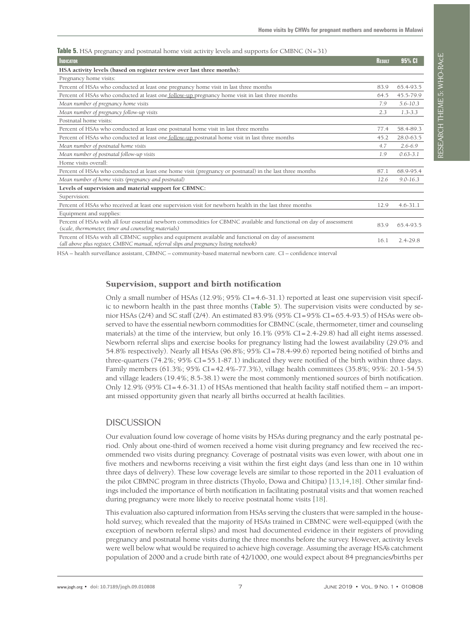<span id="page-6-0"></span>**Table 5.** HSA pregnancy and postnatal home visit activity levels and supports for CMBNC (N=31)

| <b>INDICATOR</b>                                                                                                                                                                              | Result | <b>95% CI</b> |
|-----------------------------------------------------------------------------------------------------------------------------------------------------------------------------------------------|--------|---------------|
| HSA activity levels (based on register review over last three months):                                                                                                                        |        |               |
| Pregnancy home visits:                                                                                                                                                                        |        |               |
| Percent of HSAs who conducted at least one pregnancy home visit in last three months                                                                                                          | 83.9   | 65.4-93.5     |
| Percent of HSAs who conducted at least one follow-up pregnancy home visit in last three months                                                                                                | 64.5   | 45.5-79.9     |
| Mean number of pregnancy home visits                                                                                                                                                          | 7.9    | $5.6 - 10.3$  |
| Mean number of pregnancy follow-up visits                                                                                                                                                     | 2.3    | $1.3 - 3.3$   |
| Postnatal home visits:                                                                                                                                                                        |        |               |
| Percent of HSAs who conducted at least one postnatal home visit in last three months                                                                                                          | 77.4   | 58.4-89.3     |
| Percent of HSAs who conducted at least one <b>follow-up</b> postnatal home visit in last three months                                                                                         | 45.2   | 28.0-63.5     |
| Mean number of postnatal home visits                                                                                                                                                          | 4.7    | $2.6 - 6.9$   |
| Mean number of postnatal follow-up visits                                                                                                                                                     | 1.9    | $0.63 - 3.1$  |
| Home visits overall:                                                                                                                                                                          |        |               |
| Percent of HSAs who conducted at least one home visit (pregnancy or postnatal) in the last three months                                                                                       | 87.1   | 68.9-95.4     |
| Mean number of home visits (pregnancy and postnatal)                                                                                                                                          | 12.6   | $9.0 - 16.3$  |
| Levels of supervision and material support for CBMNC:                                                                                                                                         |        |               |
| Supervision:                                                                                                                                                                                  |        |               |
| Percent of HSAs who received at least one supervision visit for newborn health in the last three months                                                                                       | 12.9   | $4.6 - 31.1$  |
| Equipment and supplies:                                                                                                                                                                       |        |               |
| Percent of HSAs with all four essential newborn commodities for CBMNC available and functional on day of assessment<br>(scale, thermometer, timer and counseling materials)                   | 83.9   | 65.4-93.5     |
| Percent of HSAs with all CBMNC supplies and equipment available and functional on day of assessment<br>(all above plus register, CMBNC manual, referral slips and pregnancy listing notebook) | 16.1   | $2.4 - 29.8$  |

HSA – health surveillance assistant, CBMNC – community-based maternal newborn care. CI – confidence interval

#### Supervision, support and birth notification

Only a small number of HSAs (12.9%; 95% CI=4.6-31.1) reported at least one supervision visit specific to newborn health in the past three months (**[Table 5](#page-6-0)**). The supervision visits were conducted by senior HSAs (2/4) and SC staff (2/4). An estimated 83.9% (95% CI=95% CI=65.4-93.5) of HSAs were observed to have the essential newborn commodities for CBMNC (scale, thermometer, timer and counseling materials) at the time of the interview, but only  $16.1\%$  (95% CI=2.4-29.8) had all eight items assessed. Newborn referral slips and exercise books for pregnancy listing had the lowest availability (29.0% and 54.8% respectively). Nearly all HSAs (96.8%; 95% CI=78.4-99.6) reported being notified of births and three-quarters (74.2%; 95% CI=55.1-87.1) indicated they were notified of the birth within three days. Family members (61.3%; 95% CI=42.4%-77.3%), village health committees (35.8%; 95%: 20.1-54.5) and village leaders (19.4%; 8.5-38.1) were the most commonly mentioned sources of birth notification. Only  $12.9\%$  (95% CI=4.6-31.1) of HSAs mentioned that health facility staff notified them – an important missed opportunity given that nearly all births occurred at health facilities.

# DISCUSSION

Our evaluation found low coverage of home visits by HSAs during pregnancy and the early postnatal period. Only about one-third of women received a home visit during pregnancy and few received the recommended two visits during pregnancy. Coverage of postnatal visits was even lower, with about one in five mothers and newborns receiving a visit within the first eight days (and less than one in 10 within three days of delivery). These low coverage levels are similar to those reported in the 2011 evaluation of the pilot CBMNC program in three districts (Thyolo, Dowa and Chitipa) [[13](#page-9-10)[,14,](#page-9-11)[18](#page-10-3)]. Other similar findings included the importance of birth notification in facilitating postnatal visits and that women reached during pregnancy were more likely to receive postnatal home visits [\[18\]](#page-10-3).

This evaluation also captured information from HSAs serving the clusters that were sampled in the household survey, which revealed that the majority of HSAs trained in CBMNC were well-equipped (with the exception of newborn referral slips) and most had documented evidence in their registers of providing pregnancy and postnatal home visits during the three months before the survey. However, activity levels were well below what would be required to achieve high coverage. Assuming the average HSA's catchment population of 2000 and a crude birth rate of 42/1000, one would expect about 84 pregnancies/births per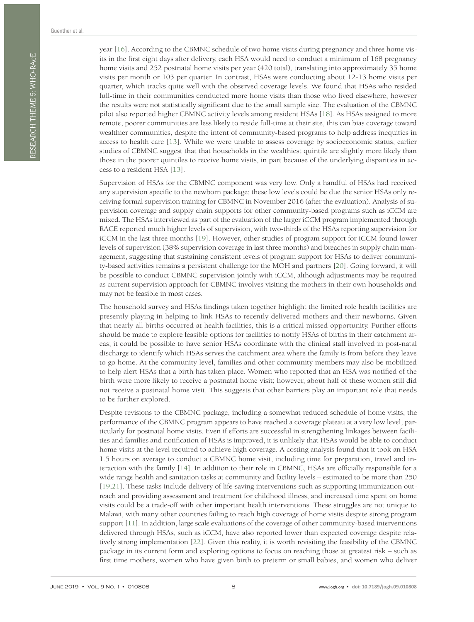year [\[16](#page-10-1)]. According to the CBMNC schedule of two home visits during pregnancy and three home visits in the first eight days after delivery, each HSA would need to conduct a minimum of 168 pregnancy home visits and 252 postnatal home visits per year (420 total), translating into approximately 35 home visits per month or 105 per quarter. In contrast, HSAs were conducting about 12-13 home visits per quarter, which tracks quite well with the observed coverage levels. We found that HSAs who resided full-time in their communities conducted more home visits than those who lived elsewhere, however the results were not statistically significant due to the small sample size. The evaluation of the CBMNC pilot also reported higher CBMNC activity levels among resident HSAs [\[18\]](#page-10-3). As HSAs assigned to more remote, poorer communities are less likely to reside full-time at their site, this can bias coverage toward wealthier communities, despite the intent of community-based programs to help address inequities in access to health care [\[13](#page-9-10)]. While we were unable to assess coverage by socioeconomic status, earlier studies of CBMNC suggest that that households in the wealthiest quintile are slightly more likely than those in the poorer quintiles to receive home visits, in part because of the underlying disparities in access to a resident HSA [\[13\]](#page-9-10).

Supervision of HSAs for the CBMNC component was very low. Only a handful of HSAs had received any supervision specific to the newborn package; these low levels could be due the senior HSAs only receiving formal supervision training for CBMNC in November 2016 (after the evaluation). Analysis of supervision coverage and supply chain supports for other community-based programs such as iCCM are mixed. The HSAs interviewed as part of the evaluation of the larger iCCM program implemented through RACE reported much higher levels of supervision, with two-thirds of the HSAs reporting supervision for iCCM in the last three months [\[19\]](#page-10-4). However, other studies of program support for iCCM found lower levels of supervision (38% supervision coverage in last three months) and breaches in supply chain management, suggesting that sustaining consistent levels of program support for HSAs to deliver community-based activities remains a persistent challenge for the MOH and partners [[20](#page-10-5)]. Going forward, it will be possible to conduct CBMNC supervision jointly with iCCM, although adjustments may be required as current supervision approach for CBMNC involves visiting the mothers in their own households and may not be feasible in most cases.

The household survey and HSAs findings taken together highlight the limited role health facilities are presently playing in helping to link HSAs to recently delivered mothers and their newborns. Given that nearly all births occurred at health facilities, this is a critical missed opportunity. Further efforts should be made to explore feasible options for facilities to notify HSAs of births in their catchment areas; it could be possible to have senior HSAs coordinate with the clinical staff involved in post-natal discharge to identify which HSAs serves the catchment area where the family is from before they leave to go home. At the community level, families and other community members may also be mobilized to help alert HSAs that a birth has taken place. Women who reported that an HSA was notified of the birth were more likely to receive a postnatal home visit; however, about half of these women still did not receive a postnatal home visit. This suggests that other barriers play an important role that needs to be further explored.

Despite revisions to the CBMNC package, including a somewhat reduced schedule of home visits, the performance of the CBMNC program appears to have reached a coverage plateau at a very low level, particularly for postnatal home visits. Even if efforts are successful in strengthening linkages between facilities and families and notification of HSAs is improved, it is unlikely that HSAs would be able to conduct home visits at the level required to achieve high coverage. A costing analysis found that it took an HSA 1.5 hours on average to conduct a CBMNC home visit, including time for preparation, travel and interaction with the family [[14](#page-9-11)]. In addition to their role in CBMNC, HSAs are officially responsible for a wide range health and sanitation tasks at community and facility levels – estimated to be more than 250 [[19](#page-10-4)[,21\]](#page-10-6). These tasks include delivery of life-saving interventions such as supporting immunization outreach and providing assessment and treatment for childhood illness, and increased time spent on home visits could be a trade-off with other important health interventions. These struggles are not unique to Malawi, with many other countries failing to reach high coverage of home visits despite strong program support [[11\]](#page-9-8). In addition, large scale evaluations of the coverage of other community-based interventions delivered through HSAs, such as iCCM, have also reported lower than expected coverage despite relatively strong implementation [[22](#page-10-7)]. Given this reality, it is worth revisiting the feasibility of the CBMNC package in its current form and exploring options to focus on reaching those at greatest risk – such as first time mothers, women who have given birth to preterm or small babies, and women who deliver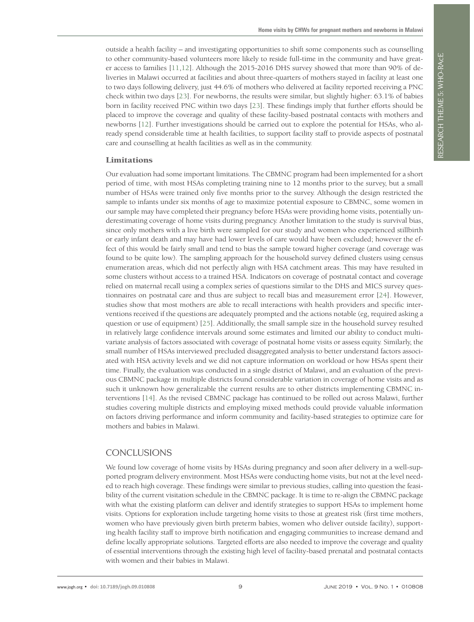outside a health facility – and investigating opportunities to shift some components such as counselling to other community-based volunteers more likely to reside full-time in the community and have greater access to families [[11](#page-9-8)[,12](#page-9-9)]. Although the 2015-2016 DHS survey showed that more than 90% of deliveries in Malawi occurred at facilities and about three-quarters of mothers stayed in facility at least one to two days following delivery, just 44.6% of mothers who delivered at facility reported receiving a PNC check within two days [[23](#page-10-8)]. For newborns, the results were similar, but slightly higher: 63.1% of babies born in facility received PNC within two days [[23](#page-10-8)]. These findings imply that further efforts should be placed to improve the coverage and quality of these facility-based postnatal contacts with mothers and newborns [[12](#page-9-9)]. Further investigations should be carried out to explore the potential for HSAs, who already spend considerable time at health facilities, to support facility staff to provide aspects of postnatal care and counselling at health facilities as well as in the community.

#### **Limitations**

Our evaluation had some important limitations. The CBMNC program had been implemented for a short period of time, with most HSAs completing training nine to 12 months prior to the survey, but a small number of HSAs were trained only five months prior to the survey. Although the design restricted the sample to infants under six months of age to maximize potential exposure to CBMNC, some women in our sample may have completed their pregnancy before HSAs were providing home visits, potentially underestimating coverage of home visits during pregnancy. Another limitation to the study is survival bias, since only mothers with a live birth were sampled for our study and women who experienced stillbirth or early infant death and may have had lower levels of care would have been excluded; however the effect of this would be fairly small and tend to bias the sample toward higher coverage (and coverage was found to be quite low). The sampling approach for the household survey defined clusters using census enumeration areas, which did not perfectly align with HSA catchment areas. This may have resulted in some clusters without access to a trained HSA. Indicators on coverage of postnatal contact and coverage relied on maternal recall using a complex series of questions similar to the DHS and MICS survey questionnaires on postnatal care and thus are subject to recall bias and measurement error [[24](#page-10-9)]. However, studies show that most mothers are able to recall interactions with health providers and specific interventions received if the questions are adequately prompted and the actions notable (eg, required asking a question or use of equipment) [\[25\]](#page-10-10). Additionally, the small sample size in the household survey resulted in relatively large confidence intervals around some estimates and limited our ability to conduct multivariate analysis of factors associated with coverage of postnatal home visits or assess equity. Similarly, the small number of HSAs interviewed precluded disaggregated analysis to better understand factors associated with HSA activity levels and we did not capture information on workload or how HSAs spent their time. Finally, the evaluation was conducted in a single district of Malawi, and an evaluation of the previous CBMNC package in multiple districts found considerable variation in coverage of home visits and as such it unknown how generalizable the current results are to other districts implementing CBMNC interventions [[14](#page-9-11)]. As the revised CBMNC package has continued to be rolled out across Malawi, further studies covering multiple districts and employing mixed methods could provide valuable information on factors driving performance and inform community and facility-based strategies to optimize care for mothers and babies in Malawi.

# CONCLUSIONS

We found low coverage of home visits by HSAs during pregnancy and soon after delivery in a well-supported program delivery environment. Most HSAs were conducting home visits, but not at the level needed to reach high coverage. These findings were similar to previous studies, calling into question the feasibility of the current visitation schedule in the CBMNC package. It is time to re-align the CBMNC package with what the existing platform can deliver and identify strategies to support HSAs to implement home visits. Options for exploration include targeting home visits to those at greatest risk (first time mothers, women who have previously given birth preterm babies, women who deliver outside facility), supporting health facility staff to improve birth notification and engaging communities to increase demand and define locally appropriate solutions. Targeted efforts are also needed to improve the coverage and quality of essential interventions through the existing high level of facility-based prenatal and postnatal contacts with women and their babies in Malawi.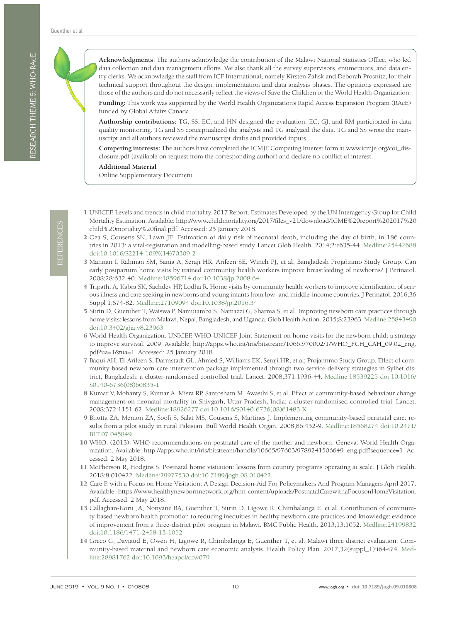Guenther et al.

REFERENCES REFERENCES

**Acknowledgments**: The authors acknowledge the contribution of the Malawi National Statistics Office, who led data collection and data management efforts. We also thank all the survey supervisors, enumerators, and data entry clerks. We acknowledge the staff from ICF International, namely Kirsten Zalisk and Deborah Prosnitz, for their technical support throughout the design, implementation and data analysis phases. The opinions expressed are those of the authors and do not necessarily reflect the views of Save the Children or the World Health Organization.

**Funding:** This work was supported by the World Health Organization's Rapid Access Expansion Program (RAcE) funded by Global Affairs Canada.

**Authorship contributions:** TG, SS, EC, and HN designed the evaluation. EC, GJ, and RM participated in data quality monitoring. TG and SS conceptualized the analysis and TG analyzed the data. TG and SS wrote the manuscript and all authors reviewed the manuscript drafts and provided inputs.

**Competing interests:** The authors have completed the ICMJE Competing Interest form at www.icmje.org/coi\_disclosure.pdf (available on request from the corresponding author) and declare no conflict of interest.

### **Additional Material**

Online Supplementary Document

- <span id="page-9-0"></span> 1 UNICEF. Levels and trends in child mortality. 2017 Report. Estimates Developed by the UN Interagency Group for Child Mortality Estimation. Available: [http://www.childmortality.org/2017/files\\_v21/download/IGME%20report%202017%20](http://www.childmortality.org/2017/files_v21/download/IGME%20report%202017%20child%20mortality%20final.pdf) [child%20mortality%20final.pdf](http://www.childmortality.org/2017/files_v21/download/IGME%20report%202017%20child%20mortality%20final.pdf). Accessed: 25 January 2018.
- <span id="page-9-1"></span> 2 Oza S, Cousens SN, Lawn JE. Estimation of daily risk of neonatal death, including the day of birth, in 186 countries in 2013: a vital-registration and modelling-based study. Lancet Glob Health. 2014;2:e635-44[. Medline:25442688](https://www.ncbi.nlm.nih.gov/entrez/query.fcgi?cmd=Retrieve&db=PubMed&list_uids=25442688&dopt=Abstract) [doi:10.1016/S2214-109X\(14\)70309-2](https://doi.org/10.1016/S2214-109X(14)70309-2)
- <span id="page-9-2"></span> 3 Mannan I, Rahman SM, Sania A, Seraji HR, Arifeen SE, Winch PJ, et al; Bangladesh Projahnmo Study Group. Can early postpartum home visits by trained community health workers improve breastfeeding of newborns? J Perinatol. 2008;28:632-40. [Medline:18596714](https://www.ncbi.nlm.nih.gov/entrez/query.fcgi?cmd=Retrieve&db=PubMed&list_uids=18596714&dopt=Abstract) [doi:10.1038/jp.2008.64](https://doi.org/10.1038/jp.2008.64)
- 4 Tripathi A, Kabra SK, Sachdev HP, Lodha R. Home visits by community health workers to improve identification of serious illness and care seeking in newborns and young infants from low- and middle-income countries. J Perinatol. 2016;36 Suppl 1:S74-82[. Medline:27109094](https://www.ncbi.nlm.nih.gov/entrez/query.fcgi?cmd=Retrieve&db=PubMed&list_uids=27109094&dopt=Abstract) [doi:10.1038/jp.2016.34](https://doi.org/10.1038/jp.2016.34)
- <span id="page-9-3"></span> 5 Sitrin D, Guenther T, Waiswa P, Namutamba S, Namazzi G, Sharma S, et al. Improving newborn care practices through home visits: lessons from Malawi, Nepal, Bangladesh, and Uganda.Glob Health Action. 2015;8:23963[. Medline:25843490](https://www.ncbi.nlm.nih.gov/entrez/query.fcgi?cmd=Retrieve&db=PubMed&list_uids=25843490&dopt=Abstract) [doi:10.3402/gha.v8.23963](https://doi.org/10.3402/gha.v8.23963)
- <span id="page-9-4"></span> 6 World Health Organization. UNICEF. WHO-UNICEF Joint Statement on home visits for the newborn child: a strategy to improve survival. 2009. Available: [http://apps.who.int/iris/bitstream/10665/70002/1/WHO\\_FCH\\_CAH\\_09.02\\_eng.](http://apps.who.int/iris/bitstream/10665/70002/1/WHO_FCH_CAH_09.02_eng.pdf?ua=1&ua=1) [pdf?ua=1&ua=1](http://apps.who.int/iris/bitstream/10665/70002/1/WHO_FCH_CAH_09.02_eng.pdf?ua=1&ua=1). Accessed: 25 January 2018.
- 7 Baqui AH, El-Arifeen S, Darmstadt GL, Ahmed S, Williams EK, Seraji HR, et al; Projahnmo Study Group. Effect of community-based newborn-care intervention package implemented through two service-delivery strategies in Sylhet district, Bangladesh: a cluster-randomised controlled trial. Lancet. 2008;371:1936-44[. Medline:18539225](https://www.ncbi.nlm.nih.gov/entrez/query.fcgi?cmd=Retrieve&db=PubMed&list_uids=18539225&dopt=Abstract) [doi:10.1016/](https://doi.org/10.1016/S0140-6736(08)60835-1) [S0140-6736\(08\)60835-1](https://doi.org/10.1016/S0140-6736(08)60835-1)
- <span id="page-9-5"></span> 8 Kumar V, Mohanty S, Kumar A, Misra RP, Santosham M, Awasthi S, et al. Effect of community-based behaviour change management on neonatal mortality in Shivgarh, Uttar Pradesh, India: a cluster-randomised controlled trial. Lancet. 2008;372:1151-62[. Medline:18926277](https://www.ncbi.nlm.nih.gov/entrez/query.fcgi?cmd=Retrieve&db=PubMed&list_uids=18926277&dopt=Abstract) [doi:10.1016/S0140-6736\(08\)61483-X](https://doi.org/10.1016/S0140-6736(08)61483-X)
- <span id="page-9-6"></span> 9 Bhutta ZA, Memon ZA, Soofi S, Salat MS, Cousens S, Martines J. Implementing community-based perinatal care: results from a pilot study in rural Pakistan. Bull World Health Organ. 2008;86:452-9[. Medline:18568274](https://www.ncbi.nlm.nih.gov/entrez/query.fcgi?cmd=Retrieve&db=PubMed&list_uids=18568274&dopt=Abstract) [doi:10.2471/](https://doi.org/10.2471/BLT.07.045849) [BLT.07.045849](https://doi.org/10.2471/BLT.07.045849)
- <span id="page-9-7"></span>10 WHO. (2013). WHO recommendations on postnatal care of the mother and newborn. Geneva: World Health Organization. Available: http://apps.who.int/iris/bitstream/handle/10665/97603/9789241506649\_eng.pdf?sequence=1. Accessed: 2 May 2018.
- <span id="page-9-8"></span>11 McPherson R, Hodgins S. Postnatal home visitation: lessons from country programs operating at scale. J Glob Health. 2018;8:010422. [Medline:29977530](https://www.ncbi.nlm.nih.gov/entrez/query.fcgi?cmd=Retrieve&db=PubMed&list_uids=29977530&dopt=Abstract) [doi:10.7189/jogh.08.010422](https://doi.org/10.7189/jogh.08.010422)
- <span id="page-9-9"></span>12 Care P. with a Focus on Home Visitation: A Design Decision-Aid For Policymakers And Program Managers April 2017. Available: [https://www.healthynewbornnetwork.org/hnn-content/uploads/PostnatalCarewithaFocusonHomeVisitation.](https://www.healthynewbornnetwork.org/hnn-content/uploads/PostnatalCarewithaFocusonHomeVisitation.pdf) [pdf](https://www.healthynewbornnetwork.org/hnn-content/uploads/PostnatalCarewithaFocusonHomeVisitation.pdf). Accessed: 2 May 2018.
- <span id="page-9-10"></span>13 Callaghan-Koru JA, Nonyane BA, Guenther T, Sitrin D, Ligowe R, Chimbalanga E, et al. Contribution of community-based newborn health promotion to reducing inequities in healthy newborn care practices and knowledge: evidence of improvement from a three-district pilot program in Malawi. BMC Public Health. 2013;13:1052[. Medline:24199832](https://www.ncbi.nlm.nih.gov/entrez/query.fcgi?cmd=Retrieve&db=PubMed&list_uids=24199832&dopt=Abstract) [doi:10.1186/1471-2458-13-1052](https://doi.org/10.1186/1471-2458-13-1052)
- <span id="page-9-11"></span>14 Greco G, Daviaud E, Owen H, Ligowe R, Chimbalanga E, Guenther T, et al. Malawi three district evaluation: Community-based maternal and newborn care economic analysis. Health Policy Plan. 2017;32(suppl\_1):i64-i74. [Med](https://www.ncbi.nlm.nih.gov/entrez/query.fcgi?cmd=Retrieve&db=PubMed&list_uids=28981762&dopt=Abstract)[line:28981762](https://www.ncbi.nlm.nih.gov/entrez/query.fcgi?cmd=Retrieve&db=PubMed&list_uids=28981762&dopt=Abstract) [doi:10.1093/heapol/czw079](https://doi.org/10.1093/heapol/czw079)